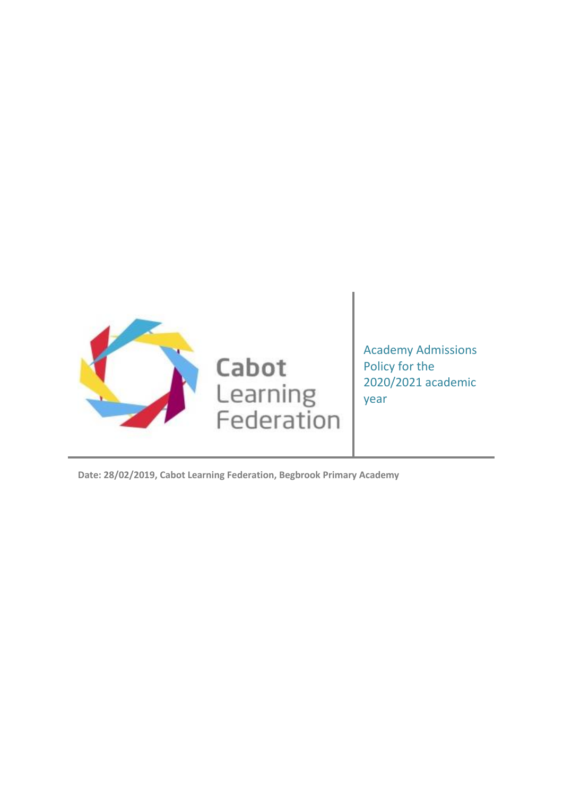

Academy Admissions Policy for the 2020/2021 academic year

**Date: 28/02/2019, Cabot Learning Federation, Begbrook Primary Academy**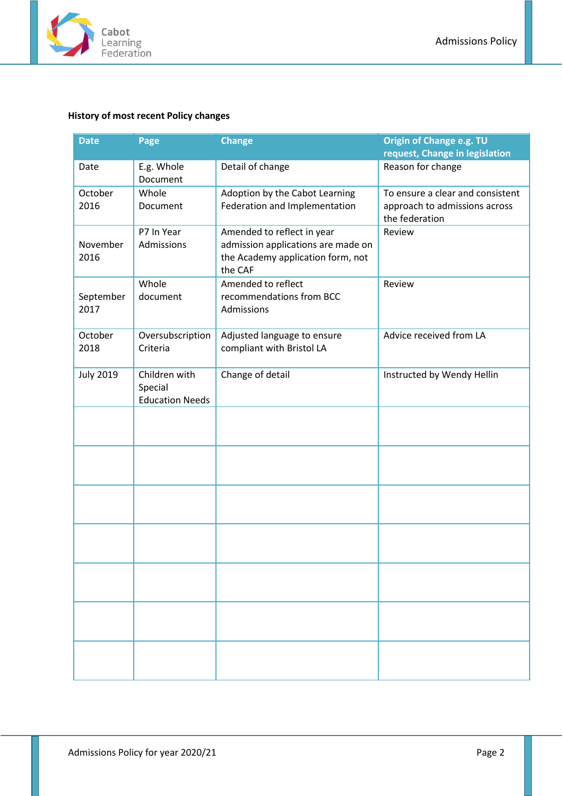

# <span id="page-1-0"></span>**History of most recent Policy changes**

| <b>Date</b>       | Page                                               | <b>Change</b>                                                                                                    | Origin of Change e.g. TU<br>request, Change in legislation                          |
|-------------------|----------------------------------------------------|------------------------------------------------------------------------------------------------------------------|-------------------------------------------------------------------------------------|
| Date              | E.g. Whole<br>Document                             | Detail of change                                                                                                 | Reason for change                                                                   |
| October<br>2016   | Whole<br>Document                                  | Adoption by the Cabot Learning<br>Federation and Implementation                                                  | To ensure a clear and consistent<br>approach to admissions across<br>the federation |
| November<br>2016  | P7 In Year<br>Admissions                           | Amended to reflect in year<br>admission applications are made on<br>the Academy application form, not<br>the CAF | Review                                                                              |
| September<br>2017 | Whole<br>document                                  | Amended to reflect<br>recommendations from BCC<br>Admissions                                                     | Review                                                                              |
| October<br>2018   | Oversubscription<br>Criteria                       | Adjusted language to ensure<br>compliant with Bristol LA                                                         | Advice received from LA                                                             |
| <b>July 2019</b>  | Children with<br>Special<br><b>Education Needs</b> | Change of detail                                                                                                 | Instructed by Wendy Hellin                                                          |
|                   |                                                    |                                                                                                                  |                                                                                     |
|                   |                                                    |                                                                                                                  |                                                                                     |
|                   |                                                    |                                                                                                                  |                                                                                     |
|                   |                                                    |                                                                                                                  |                                                                                     |
|                   |                                                    |                                                                                                                  |                                                                                     |
|                   |                                                    |                                                                                                                  |                                                                                     |
|                   |                                                    |                                                                                                                  |                                                                                     |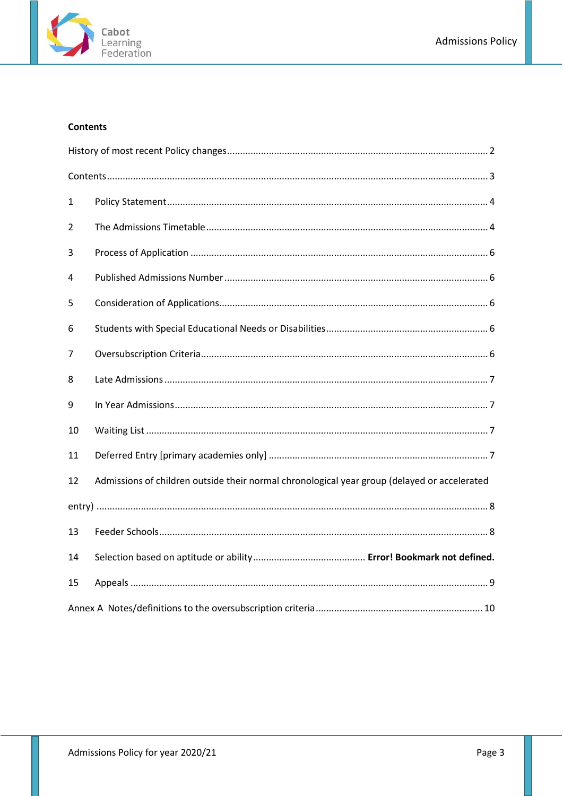

# <span id="page-2-0"></span>**Contents**

| 1  |                                                                                              |
|----|----------------------------------------------------------------------------------------------|
| 2  |                                                                                              |
| 3  |                                                                                              |
| 4  |                                                                                              |
| 5  |                                                                                              |
| 6  |                                                                                              |
| 7  |                                                                                              |
| 8  |                                                                                              |
| 9  |                                                                                              |
| 10 |                                                                                              |
| 11 |                                                                                              |
| 12 | Admissions of children outside their normal chronological year group (delayed or accelerated |
|    |                                                                                              |
| 13 |                                                                                              |
| 14 |                                                                                              |
| 15 |                                                                                              |
|    |                                                                                              |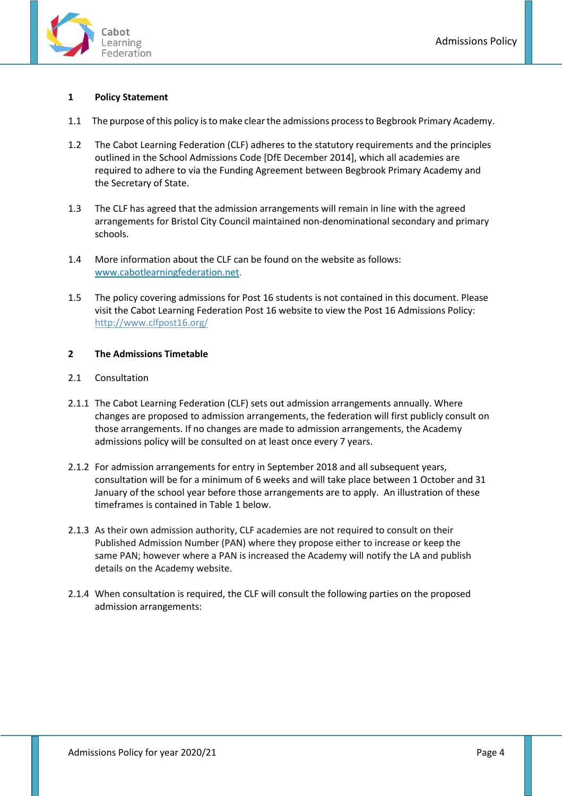

# <span id="page-3-0"></span>**1 Policy Statement**

- 1.1 The purpose of this policy is to make clear the admissions process to Begbrook Primary Academy.
- 1.2 The Cabot Learning Federation (CLF) adheres to the statutory requirements and the principles outlined in the School Admissions Code [DfE December 2014], which all academies are required to adhere to via the Funding Agreement between Begbrook Primary Academy and the Secretary of State.
- 1.3 The CLF has agreed that the admission arrangements will remain in line with the agreed arrangements for Bristol City Council maintained non-denominational secondary and primary schools.
- 1.4 More information about the CLF can be found on the website as follows: [www.cabotlearningfederation.net.](http://www.cabotlearningfederation.net/)
- 1.5 The policy covering admissions for Post 16 students is not contained in this document. Please visit the Cabot Learning Federation Post 16 website to view the Post 16 Admissions Policy: http://www.clfpost16.org/

## <span id="page-3-1"></span>**2 The Admissions Timetable**

- 2.1 Consultation
- 2.1.1 The Cabot Learning Federation (CLF) sets out admission arrangements annually. Where changes are proposed to admission arrangements, the federation will first publicly consult on those arrangements. If no changes are made to admission arrangements, the Academy admissions policy will be consulted on at least once every 7 years.
- 2.1.2 For admission arrangements for entry in September 2018 and all subsequent years, consultation will be for a minimum of 6 weeks and will take place between 1 October and 31 January of the school year before those arrangements are to apply. An illustration of these timeframes is contained in Table 1 below.
- 2.1.3 As their own admission authority, CLF academies are not required to consult on their Published Admission Number (PAN) where they propose either to increase or keep the same PAN; however where a PAN is increased the Academy will notify the LA and publish details on the Academy website.
- 2.1.4 When consultation is required, the CLF will consult the following parties on the proposed admission arrangements: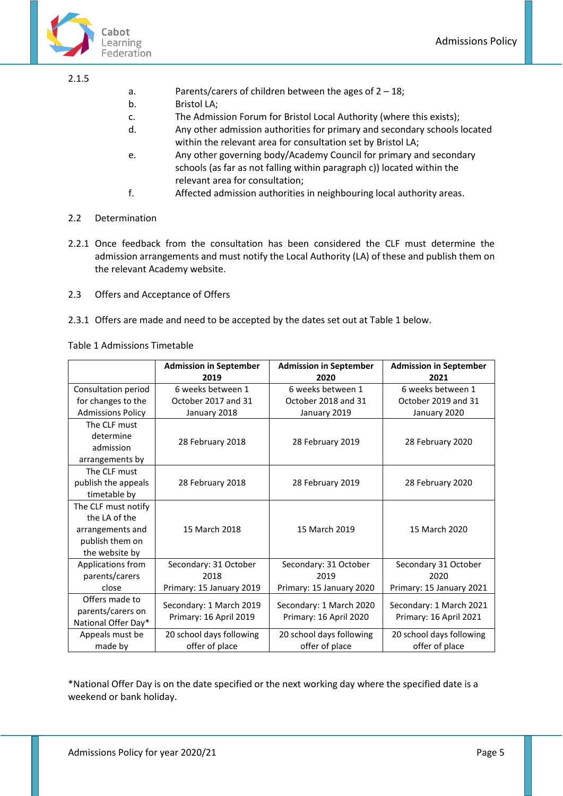



#### 2.1.5

- a. Parents/carers of children between the ages of 2 18;
- b. Bristol LA;
- c. The Admission Forum for Bristol Local Authority (where this exists);
- d. Any other admission authorities for primary and secondary schools located within the relevant area for consultation set by Bristol LA;
- e. Any other governing body/Academy Council for primary and secondary schools (as far as not falling within paragraph c)) located within the relevant area for consultation;
- f. Affected admission authorities in neighbouring local authority areas.
- 2.2 Determination
- 2.2.1 Once feedback from the consultation has been considered the CLF must determine the admission arrangements and must notify the Local Authority (LA) of these and publish them on the relevant Academy website.
- 2.3 Offers and Acceptance of Offers
- 2.3.1 Offers are made and need to be accepted by the dates set out at Table 1 below.

Table 1 Admissions Timetable

|                          | <b>Admission in September</b><br>2019 | <b>Admission in September</b><br>2020 | <b>Admission in September</b><br>2021 |
|--------------------------|---------------------------------------|---------------------------------------|---------------------------------------|
| Consultation period      | 6 weeks between 1                     | 6 weeks between 1                     | 6 weeks between 1                     |
| for changes to the       | October 2017 and 31                   | October 2018 and 31                   | October 2019 and 31                   |
| <b>Admissions Policy</b> | January 2018                          | January 2019                          | January 2020                          |
| The CLF must             |                                       |                                       |                                       |
| determine                | 28 February 2018                      | 28 February 2019                      | 28 February 2020                      |
| admission                |                                       |                                       |                                       |
| arrangements by          |                                       |                                       |                                       |
| The CLF must             |                                       |                                       |                                       |
| publish the appeals      | 28 February 2018                      | 28 February 2019                      | 28 February 2020                      |
| timetable by             |                                       |                                       |                                       |
| The CLF must notify      |                                       |                                       |                                       |
| the LA of the            |                                       |                                       |                                       |
| arrangements and         | 15 March 2018                         | 15 March 2019                         | 15 March 2020                         |
| publish them on          |                                       |                                       |                                       |
| the website by           |                                       |                                       |                                       |
| Applications from        | Secondary: 31 October                 | Secondary: 31 October                 | Secondary 31 October                  |
| parents/carers           | 2018                                  | 2019                                  | 2020                                  |
| close                    | Primary: 15 January 2019              | Primary: 15 January 2020              | Primary: 15 January 2021              |
| Offers made to           | Secondary: 1 March 2019               | Secondary: 1 March 2020               | Secondary: 1 March 2021               |
| parents/carers on        | Primary: 16 April 2019                | Primary: 16 April 2020                | Primary: 16 April 2021                |
| National Offer Day*      |                                       |                                       |                                       |
| Appeals must be          | 20 school days following              | 20 school days following              | 20 school days following              |
| made by                  | offer of place                        | offer of place                        | offer of place                        |

\*National Offer Day is on the date specified or the next working day where the specified date is a weekend or bank holiday.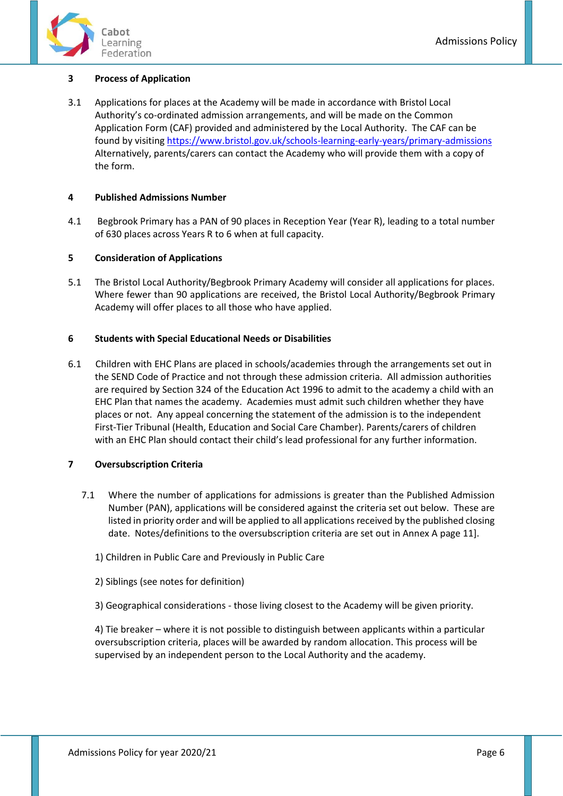

# <span id="page-5-0"></span>**3 Process of Application**

3.1 Applications for places at the Academy will be made in accordance with Bristol Local Authority's co-ordinated admission arrangements, and will be made on the Common Application Form (CAF) provided and administered by the Local Authority. The CAF can be found by visitin[g https://www.bristol.gov.uk/schools-learning-early-years/primary-admissions](https://www.bristol.gov.uk/schools-learning-early-years/primary-admissions) Alternatively, parents/carers can contact the Academy who will provide them with a copy of the form.

## <span id="page-5-1"></span>**4 Published Admissions Number**

4.1 Begbrook Primary has a PAN of 90 places in Reception Year (Year R), leading to a total number of 630 places across Years R to 6 when at full capacity.

#### <span id="page-5-2"></span>**5 Consideration of Applications**

5.1 The Bristol Local Authority/Begbrook Primary Academy will consider all applications for places. Where fewer than 90 applications are received, the Bristol Local Authority/Begbrook Primary Academy will offer places to all those who have applied.

#### <span id="page-5-3"></span>**6 Students with Special Educational Needs or Disabilities**

6.1 Children with EHC Plans are placed in schools/academies through the arrangements set out in the SEND Code of Practice and not through these admission criteria. All admission authorities are required by Section 324 of the Education Act 1996 to admit to the academy a child with an EHC Plan that names the academy. Academies must admit such children whether they have places or not. Any appeal concerning the statement of the admission is to the independent First-Tier Tribunal (Health, Education and Social Care Chamber). Parents/carers of children with an EHC Plan should contact their child's lead professional for any further information.

## <span id="page-5-4"></span>**7 Oversubscription Criteria**

- 7.1 Where the number of applications for admissions is greater than the Published Admission Number (PAN), applications will be considered against the criteria set out below. These are listed in priority order and will be applied to all applications received by the published closing date. Notes/definitions to the oversubscription criteria are set out in Annex A page 11].
	- 1) Children in Public Care and Previously in Public Care
	- 2) Siblings (see notes for definition)
	- 3) Geographical considerations those living closest to the Academy will be given priority.

4) Tie breaker – where it is not possible to distinguish between applicants within a particular oversubscription criteria, places will be awarded by random allocation. This process will be supervised by an independent person to the Local Authority and the academy.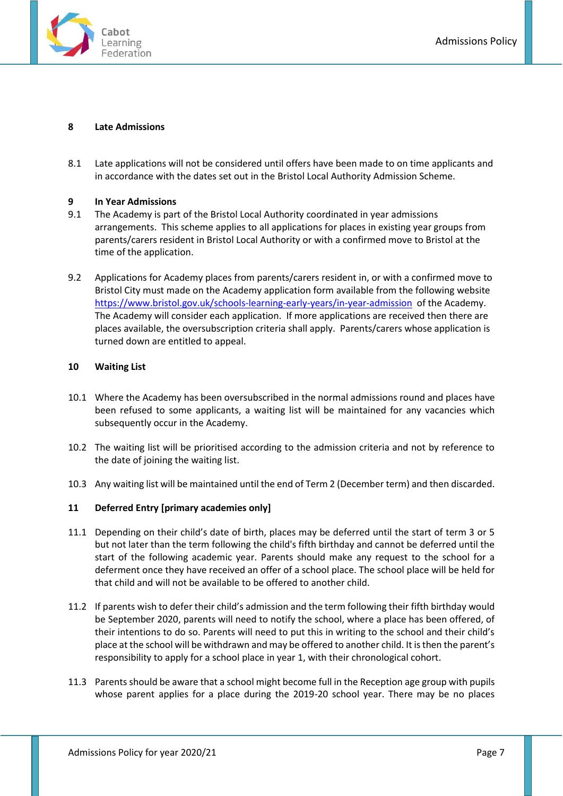

#### <span id="page-6-0"></span>**8 Late Admissions**

8.1 Late applications will not be considered until offers have been made to on time applicants and in accordance with the dates set out in the Bristol Local Authority Admission Scheme.

#### <span id="page-6-1"></span>**9 In Year Admissions**

- 9.1 The Academy is part of the Bristol Local Authority coordinated in year admissions arrangements. This scheme applies to all applications for places in existing year groups from parents/carers resident in Bristol Local Authority or with a confirmed move to Bristol at the time of the application.
- 9.2 Applications for Academy places from parents/carers resident in, or with a confirmed move to Bristol City must made on the Academy application form available from the following website <https://www.bristol.gov.uk/schools-learning-early-years/in-year-admission> of the Academy. The Academy will consider each application. If more applications are received then there are places available, the oversubscription criteria shall apply. Parents/carers whose application is turned down are entitled to appeal.

## <span id="page-6-2"></span>**10 Waiting List**

- 10.1 Where the Academy has been oversubscribed in the normal admissions round and places have been refused to some applicants, a waiting list will be maintained for any vacancies which subsequently occur in the Academy.
- 10.2 The waiting list will be prioritised according to the admission criteria and not by reference to the date of joining the waiting list.
- 10.3 Any waiting list will be maintained until the end of Term 2 (December term) and then discarded.

## <span id="page-6-3"></span>**11 Deferred Entry [primary academies only]**

- 11.1 Depending on their child's date of birth, places may be deferred until the start of term 3 or 5 but not later than the term following the child's fifth birthday and cannot be deferred until the start of the following academic year. Parents should make any request to the school for a deferment once they have received an offer of a school place. The school place will be held for that child and will not be available to be offered to another child.
- 11.2 If parents wish to defer their child's admission and the term following their fifth birthday would be September 2020, parents will need to notify the school, where a place has been offered, of their intentions to do so. Parents will need to put this in writing to the school and their child's place at the school will be withdrawn and may be offered to another child. It is then the parent's responsibility to apply for a school place in year 1, with their chronological cohort.
- 11.3 Parents should be aware that a school might become full in the Reception age group with pupils whose parent applies for a place during the 2019-20 school year. There may be no places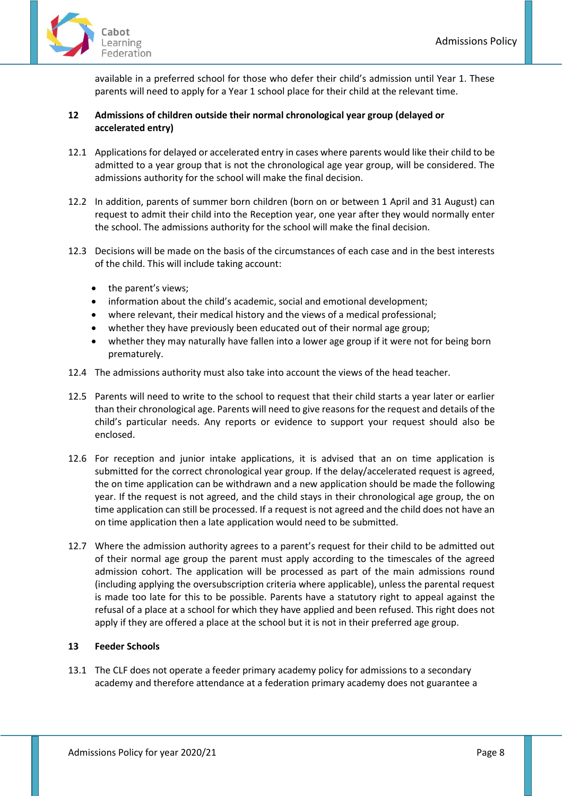

available in a preferred school for those who defer their child's admission until Year 1. These parents will need to apply for a Year 1 school place for their child at the relevant time.

# <span id="page-7-0"></span>**12 Admissions of children outside their normal chronological year group (delayed or accelerated entry)**

- 12.1 Applications for delayed or accelerated entry in cases where parents would like their child to be admitted to a year group that is not the chronological age year group, will be considered. The admissions authority for the school will make the final decision.
- 12.2 In addition, parents of summer born children (born on or between 1 April and 31 August) can request to admit their child into the Reception year, one year after they would normally enter the school. The admissions authority for the school will make the final decision.
- 12.3 Decisions will be made on the basis of the circumstances of each case and in the best interests of the child. This will include taking account:
	- the parent's views;
	- information about the child's academic, social and emotional development;
	- where relevant, their medical history and the views of a medical professional;
	- whether they have previously been educated out of their normal age group;
	- whether they may naturally have fallen into a lower age group if it were not for being born prematurely.
- 12.4 The admissions authority must also take into account the views of the head teacher.
- 12.5 Parents will need to write to the school to request that their child starts a year later or earlier than their chronological age. Parents will need to give reasons for the request and details of the child's particular needs. Any reports or evidence to support your request should also be enclosed.
- 12.6 For reception and junior intake applications, it is advised that an on time application is submitted for the correct chronological year group. If the delay/accelerated request is agreed, the on time application can be withdrawn and a new application should be made the following year. If the request is not agreed, and the child stays in their chronological age group, the on time application can still be processed. If a request is not agreed and the child does not have an on time application then a late application would need to be submitted.
- 12.7 Where the admission authority agrees to a parent's request for their child to be admitted out of their normal age group the parent must apply according to the timescales of the agreed admission cohort. The application will be processed as part of the main admissions round (including applying the oversubscription criteria where applicable), unless the parental request is made too late for this to be possible. Parents have a statutory right to appeal against the refusal of a place at a school for which they have applied and been refused. This right does not apply if they are offered a place at the school but it is not in their preferred age group.

## <span id="page-7-1"></span>**13 Feeder Schools**

13.1 The CLF does not operate a feeder primary academy policy for admissions to a secondary academy and therefore attendance at a federation primary academy does not guarantee a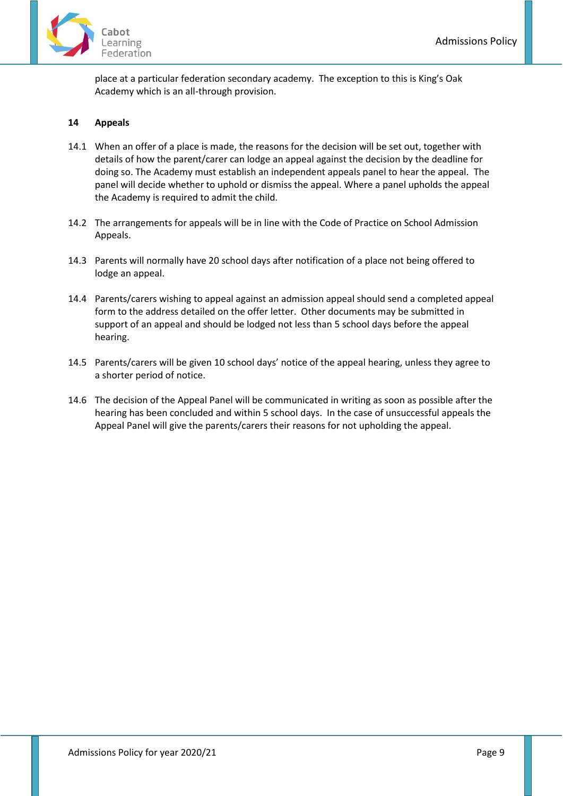

place at a particular federation secondary academy. The exception to this is King's Oak Academy which is an all-through provision.

# <span id="page-8-0"></span>**14 Appeals**

- 14.1 When an offer of a place is made, the reasons for the decision will be set out, together with details of how the parent/carer can lodge an appeal against the decision by the deadline for doing so. The Academy must establish an independent appeals panel to hear the appeal. The panel will decide whether to uphold or dismiss the appeal. Where a panel upholds the appeal the Academy is required to admit the child.
- 14.2 The arrangements for appeals will be in line with the Code of Practice on School Admission Appeals.
- 14.3 Parents will normally have 20 school days after notification of a place not being offered to lodge an appeal.
- 14.4 Parents/carers wishing to appeal against an admission appeal should send a completed appeal form to the address detailed on the offer letter. Other documents may be submitted in support of an appeal and should be lodged not less than 5 school days before the appeal hearing.
- 14.5 Parents/carers will be given 10 school days' notice of the appeal hearing, unless they agree to a shorter period of notice.
- 14.6 The decision of the Appeal Panel will be communicated in writing as soon as possible after the hearing has been concluded and within 5 school days. In the case of unsuccessful appeals the Appeal Panel will give the parents/carers their reasons for not upholding the appeal.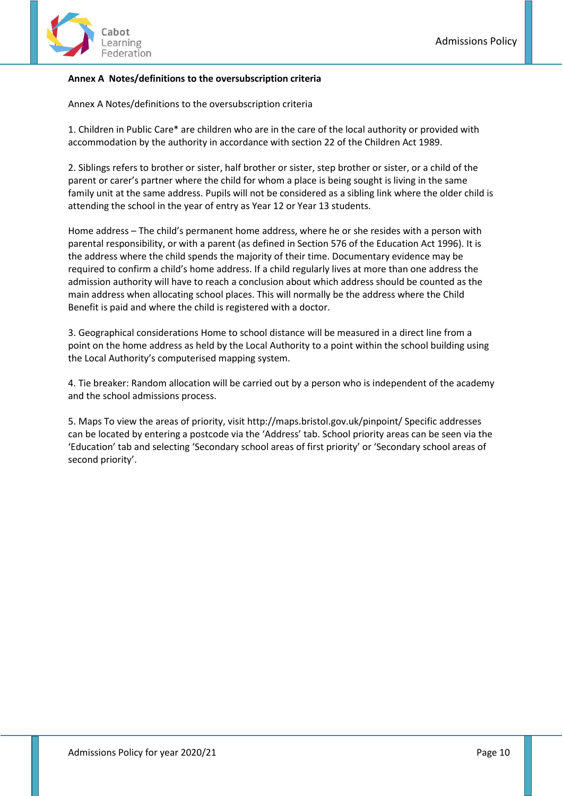

# <span id="page-9-0"></span>**Annex A Notes/definitions to the oversubscription criteria**

Annex A Notes/definitions to the oversubscription criteria

1. Children in Public Care\* are children who are in the care of the local authority or provided with accommodation by the authority in accordance with section 22 of the Children Act 1989.

2. Siblings refers to brother or sister, half brother or sister, step brother or sister, or a child of the parent or carer's partner where the child for whom a place is being sought is living in the same family unit at the same address. Pupils will not be considered as a sibling link where the older child is attending the school in the year of entry as Year 12 or Year 13 students.

Home address – The child's permanent home address, where he or she resides with a person with parental responsibility, or with a parent (as defined in Section 576 of the Education Act 1996). It is the address where the child spends the majority of their time. Documentary evidence may be required to confirm a child's home address. If a child regularly lives at more than one address the admission authority will have to reach a conclusion about which address should be counted as the main address when allocating school places. This will normally be the address where the Child Benefit is paid and where the child is registered with a doctor.

3. Geographical considerations Home to school distance will be measured in a direct line from a point on the home address as held by the Local Authority to a point within the school building using the Local Authority's computerised mapping system.

4. Tie breaker: Random allocation will be carried out by a person who is independent of the academy and the school admissions process.

5. Maps To view the areas of priority, visit http://maps.bristol.gov.uk/pinpoint/ Specific addresses can be located by entering a postcode via the 'Address' tab. School priority areas can be seen via the 'Education' tab and selecting 'Secondary school areas of first priority' or 'Secondary school areas of second priority'.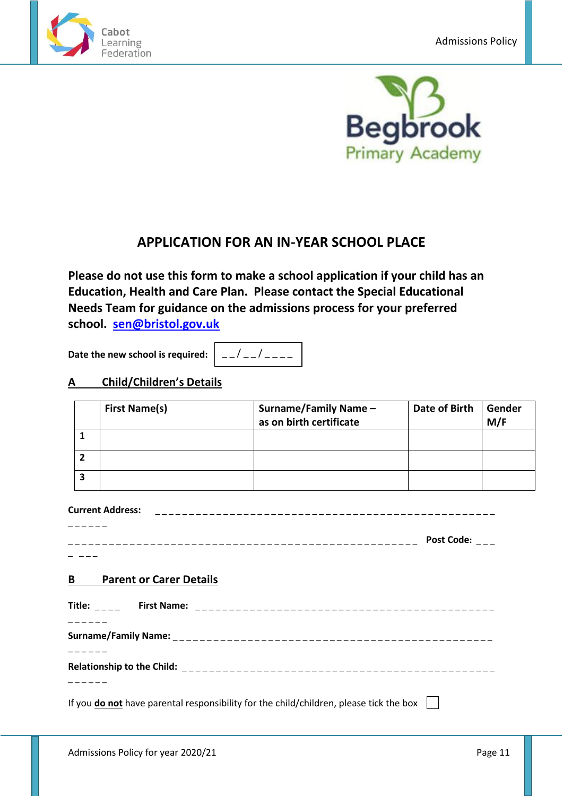



# **APPLICATION FOR AN IN-YEAR SCHOOL PLACE**

**Please do not use this form to make a school application if your child has an Education, Health and Care Plan. Please contact the Special Educational Needs Team for guidance on the admissions process for your preferred school. [sen@bristol.gov.uk](mailto:sen@bristol.gov.uk)**

**Date the new school is required:**

 $- / - / - - - -$ 

# **A Child/Children's Details**

| <b>First Name(s)</b> | <b>Surname/Family Name-</b><br>as on birth certificate | Date of Birth | Gender<br>M/F |
|----------------------|--------------------------------------------------------|---------------|---------------|
|                      |                                                        |               |               |
|                      |                                                        |               |               |
|                      |                                                        |               |               |

# **Current Address:** \_ \_ \_ \_ \_ \_ \_ \_ \_ \_ \_ \_ \_ \_ \_ \_ \_ \_ \_ \_ \_ \_ \_ \_ \_ \_ \_ \_ \_ \_ \_ \_ \_ \_ \_ \_ \_ \_ \_ \_ \_ \_ \_ \_ \_ \_ \_ \_ \_ \_

 $\mathcal{L} = \{ \mathcal{L} \}$ \_ \_ \_ \_ \_ \_ \_ \_ \_ \_ \_ \_ \_ \_ \_ \_ \_ \_ \_ \_ \_ \_ \_ \_ \_ \_ \_ \_ \_ \_ \_ \_ \_ \_ \_ \_ \_ \_ \_ \_ \_ \_ \_ \_ \_ \_ \_ \_ \_ \_ \_ **Post Code:** \_ \_ \_

 $\overline{a}$   $\overline{a}$   $\overline{a}$   $\overline{a}$   $\overline{a}$   $\overline{a}$   $\overline{a}$   $\overline{a}$   $\overline{a}$   $\overline{a}$   $\overline{a}$   $\overline{a}$   $\overline{a}$   $\overline{a}$   $\overline{a}$   $\overline{a}$   $\overline{a}$   $\overline{a}$   $\overline{a}$   $\overline{a}$   $\overline{a}$   $\overline{a}$   $\overline{a}$   $\overline{a}$   $\overline{$ 

# **B Parent or Carer Details**

**Title:** \_ \_ \_ \_ **First Name:** \_ \_ \_ \_ \_ \_ \_ \_ \_ \_ \_ \_ \_ \_ \_ \_ \_ \_ \_ \_ \_ \_ \_ \_ \_ \_ \_ \_ \_ \_ \_ \_ \_ \_ \_ \_ \_ \_ \_ \_ \_ \_ \_ \_ \_ \_ \_ \_ \_ \_ **Surname/Family Name:** \_ \_ \_ \_ \_ \_ \_ \_ \_ \_ \_ \_ \_ \_ \_ \_ \_ \_ \_ \_ \_ \_ \_ \_ \_ \_ \_ \_ \_ \_ \_ \_ \_ \_ \_ \_ \_ \_ \_ \_ \_ \_ \_ \_ \_ \_ \_  $\overline{\phantom{a}}$   $\overline{\phantom{a}}$   $\overline{\phantom{a}}$   $\overline{\phantom{a}}$   $\overline{\phantom{a}}$   $\overline{\phantom{a}}$   $\overline{\phantom{a}}$   $\overline{\phantom{a}}$   $\overline{\phantom{a}}$   $\overline{\phantom{a}}$   $\overline{\phantom{a}}$   $\overline{\phantom{a}}$   $\overline{\phantom{a}}$   $\overline{\phantom{a}}$   $\overline{\phantom{a}}$   $\overline{\phantom{a}}$   $\overline{\phantom{a}}$   $\overline{\phantom{a}}$   $\overline{\$ **Relationship to the Child:** \_ \_ \_ \_ \_ \_ \_ \_ \_ \_ \_ \_ \_ \_ \_ \_ \_ \_ \_ \_ \_ \_ \_ \_ \_ \_ \_ \_ \_ \_ \_ \_ \_ \_ \_ \_ \_ \_ \_ \_ \_ \_ \_ \_ \_ \_ \_ \_ \_ \_ \_ \_

If you **do not** have parental responsibility for the child/children, please tick the box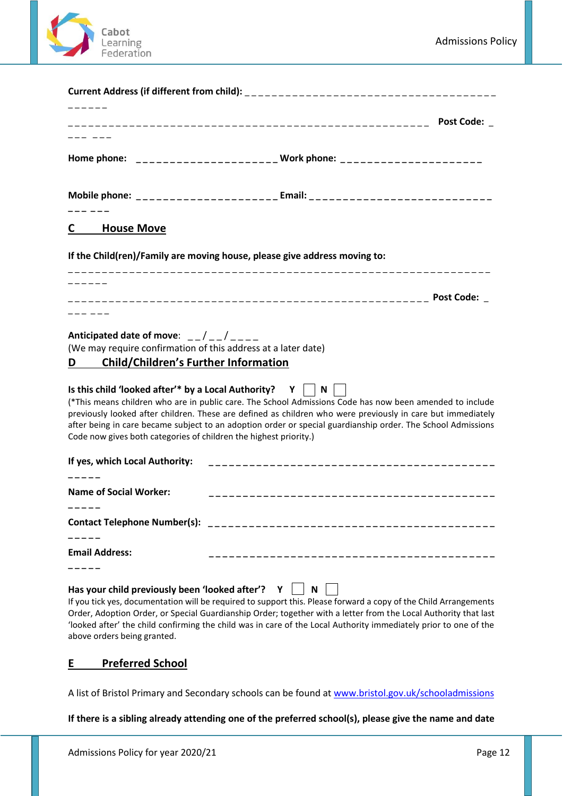

|                                                                                                                                                                                                                                                                                                                                                                                                                      | Post Code: _                                                                                                                                                                                                                                                                                                                            |
|----------------------------------------------------------------------------------------------------------------------------------------------------------------------------------------------------------------------------------------------------------------------------------------------------------------------------------------------------------------------------------------------------------------------|-----------------------------------------------------------------------------------------------------------------------------------------------------------------------------------------------------------------------------------------------------------------------------------------------------------------------------------------|
|                                                                                                                                                                                                                                                                                                                                                                                                                      | Home phone: ______________________ Work phone: ______________________                                                                                                                                                                                                                                                                   |
|                                                                                                                                                                                                                                                                                                                                                                                                                      | Mobile phone: _______________________ Email: ___________________________________                                                                                                                                                                                                                                                        |
| <b>House Move</b><br>C.                                                                                                                                                                                                                                                                                                                                                                                              |                                                                                                                                                                                                                                                                                                                                         |
| If the Child(ren)/Family are moving house, please give address moving to:                                                                                                                                                                                                                                                                                                                                            |                                                                                                                                                                                                                                                                                                                                         |
|                                                                                                                                                                                                                                                                                                                                                                                                                      | <b>Post Code:</b>                                                                                                                                                                                                                                                                                                                       |
| Anticipated date of move: $\frac{1}{2}$ / $\frac{1}{2}$ / $\frac{1}{2}$ / $\frac{1}{2}$ = $\frac{1}{2}$<br>(We may require confirmation of this address at a later date)<br><b>Child/Children's Further Information</b><br>D<br>Is this child 'looked after'* by a Local Authority? $Y \parallel N \parallel$<br>Code now gives both categories of children the highest priority.)<br>If yes, which Local Authority: | (*This means children who are in public care. The School Admissions Code has now been amended to include<br>previously looked after children. These are defined as children who were previously in care but immediately<br>after being in care became subject to an adoption order or special guardianship order. The School Admissions |
| <b>Name of Social Worker:</b>                                                                                                                                                                                                                                                                                                                                                                                        |                                                                                                                                                                                                                                                                                                                                         |
|                                                                                                                                                                                                                                                                                                                                                                                                                      |                                                                                                                                                                                                                                                                                                                                         |
| <b>Email Address:</b>                                                                                                                                                                                                                                                                                                                                                                                                |                                                                                                                                                                                                                                                                                                                                         |
| Has your child previously been 'looked after'? $Y \parallel N$                                                                                                                                                                                                                                                                                                                                                       |                                                                                                                                                                                                                                                                                                                                         |

If you tick yes, documentation will be required to support this. Please forward a copy of the Child Arrangements Order, Adoption Order, or Special Guardianship Order; together with a letter from the Local Authority that last 'looked after' the child confirming the child was in care of the Local Authority immediately prior to one of the above orders being granted.

# **E Preferred School**

A list of Bristol Primary and Secondary schools can be found at [www.bristol.gov.uk/schooladmissions](http://www.bristol.gov.uk/schooladmissions)

**If there is a sibling already attending one of the preferred school(s), please give the name and date**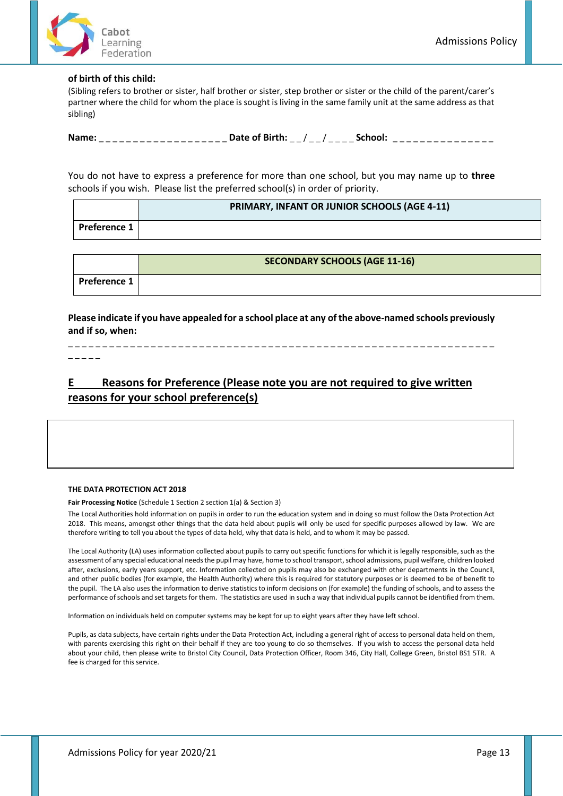

#### **of birth of this child:**

(Sibling refers to brother or sister, half brother or sister, step brother or sister or the child of the parent/carer's partner where the child for whom the place is sought is living in the same family unit at the same address as that sibling)

**Name:** \_\_\_\_\_\_\_\_\_\_\_\_\_\_\_\_\_\_\_ Date of Birth: \_\_/ \_\_/ \_\_\_ \_\_ School: \_\_\_\_\_\_\_\_\_\_\_\_\_\_\_

You do not have to express a preference for more than one school, but you may name up to **three** schools if you wish. Please list the preferred school(s) in order of priority.

|                  | PRIMARY, INFANT OR JUNIOR SCHOOLS (AGE 4-11) |
|------------------|----------------------------------------------|
| l Preference 1 l |                                              |

|              | <b>SECONDARY SCHOOLS (AGE 11-16)</b> |
|--------------|--------------------------------------|
| Preference 1 |                                      |

**Please indicate if you have appealed for a school place at any of the above-named schools previously and if so, when:**

\_ \_ \_ \_ \_ \_ \_ \_ \_ \_ \_ \_ \_ \_ \_ \_ \_ \_ \_ \_ \_ \_ \_ \_ \_ \_ \_ \_ \_ \_ \_ \_ \_ \_ \_ \_ \_ \_ \_ \_ \_ \_ \_ \_ \_ \_ \_ \_ \_ \_ \_ \_ \_ \_ \_ \_ \_ \_ \_ \_ \_ \_

\_ \_ \_ \_ \_

# **E Reasons for Preference (Please note you are not required to give written reasons for your school preference(s)**

#### **THE DATA PROTECTION ACT 2018**

**Fair Processing Notice** (Schedule 1 Section 2 section 1(a) & Section 3)

The Local Authorities hold information on pupils in order to run the education system and in doing so must follow the Data Protection Act 2018. This means, amongst other things that the data held about pupils will only be used for specific purposes allowed by law. We are therefore writing to tell you about the types of data held, why that data is held, and to whom it may be passed.

The Local Authority (LA) uses information collected about pupils to carry out specific functions for which it is legally responsible, such as the assessment of any special educational needs the pupil may have, home to school transport, school admissions, pupil welfare, children looked after, exclusions, early years support, etc. Information collected on pupils may also be exchanged with other departments in the Council, and other public bodies (for example, the Health Authority) where this is required for statutory purposes or is deemed to be of benefit to the pupil. The LA also uses the information to derive statistics to inform decisions on (for example) the funding of schools, and to assess the performance of schools and set targets for them. The statistics are used in such a way that individual pupils cannot be identified from them.

Information on individuals held on computer systems may be kept for up to eight years after they have left school.

Pupils, as data subjects, have certain rights under the Data Protection Act, including a general right of access to personal data held on them, with parents exercising this right on their behalf if they are too young to do so themselves. If you wish to access the personal data held about your child, then please write to Bristol City Council, Data Protection Officer, Room 346, City Hall, College Green, Bristol BS1 5TR. A fee is charged for this service.